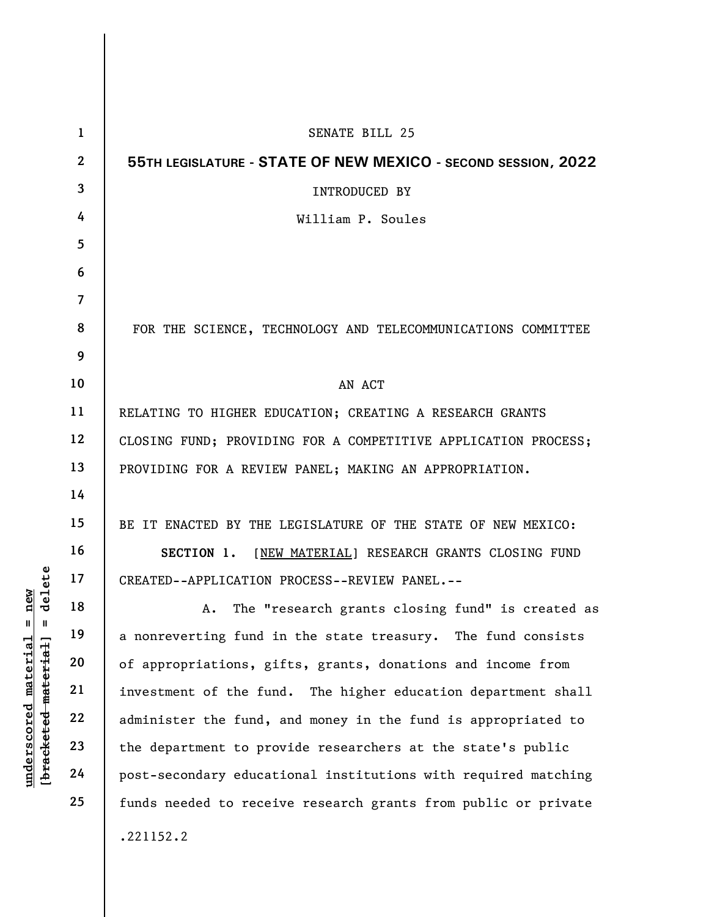|                                              | $\mathbf{1}$   | <b>SENATE BILL 25</b>                                          |  |  |  |  |  |  |  |  |  |  |
|----------------------------------------------|----------------|----------------------------------------------------------------|--|--|--|--|--|--|--|--|--|--|
|                                              | $\overline{2}$ | 55TH LEGISLATURE - STATE OF NEW MEXICO - SECOND SESSION, 2022  |  |  |  |  |  |  |  |  |  |  |
|                                              | 3              | <b>INTRODUCED BY</b>                                           |  |  |  |  |  |  |  |  |  |  |
|                                              | 4              | William P. Soules                                              |  |  |  |  |  |  |  |  |  |  |
|                                              | 5              |                                                                |  |  |  |  |  |  |  |  |  |  |
|                                              | 6              |                                                                |  |  |  |  |  |  |  |  |  |  |
|                                              | $\overline{7}$ |                                                                |  |  |  |  |  |  |  |  |  |  |
|                                              | 8              | FOR THE SCIENCE, TECHNOLOGY AND TELECOMMUNICATIONS COMMITTEE   |  |  |  |  |  |  |  |  |  |  |
|                                              | 9              |                                                                |  |  |  |  |  |  |  |  |  |  |
|                                              | 10             | AN ACT                                                         |  |  |  |  |  |  |  |  |  |  |
|                                              | 11             | RELATING TO HIGHER EDUCATION; CREATING A RESEARCH GRANTS       |  |  |  |  |  |  |  |  |  |  |
|                                              | 12             | CLOSING FUND; PROVIDING FOR A COMPETITIVE APPLICATION PROCESS; |  |  |  |  |  |  |  |  |  |  |
|                                              | 13             | PROVIDING FOR A REVIEW PANEL; MAKING AN APPROPRIATION.         |  |  |  |  |  |  |  |  |  |  |
|                                              | 14             |                                                                |  |  |  |  |  |  |  |  |  |  |
|                                              | 15             | BE IT ENACTED BY THE LEGISLATURE OF THE STATE OF NEW MEXICO:   |  |  |  |  |  |  |  |  |  |  |
|                                              | 16             | SECTION 1.<br>[NEW MATERIAL] RESEARCH GRANTS CLOSING FUND      |  |  |  |  |  |  |  |  |  |  |
| delete                                       | 17             | CREATED--APPLICATION PROCESS--REVIEW PANEL.--                  |  |  |  |  |  |  |  |  |  |  |
| $n$ ew                                       | 18             | The "research grants closing fund" is created as<br>Α.         |  |  |  |  |  |  |  |  |  |  |
| Ш<br>H                                       | 19             | a nonreverting fund in the state treasury. The fund consists   |  |  |  |  |  |  |  |  |  |  |
| $\mathtt{material}$                          | 20             | of appropriations, gifts, grants, donations and income from    |  |  |  |  |  |  |  |  |  |  |
| [ <del>brack</del> ete <del>d material</del> | 21             | investment of the fund. The higher education department shall  |  |  |  |  |  |  |  |  |  |  |
|                                              | 22             | administer the fund, and money in the fund is appropriated to  |  |  |  |  |  |  |  |  |  |  |
|                                              | 23             | the department to provide researchers at the state's public    |  |  |  |  |  |  |  |  |  |  |
| underscored                                  | 24             | post-secondary educational institutions with required matching |  |  |  |  |  |  |  |  |  |  |
|                                              | 25             | funds needed to receive research grants from public or private |  |  |  |  |  |  |  |  |  |  |
|                                              |                | .221152.2                                                      |  |  |  |  |  |  |  |  |  |  |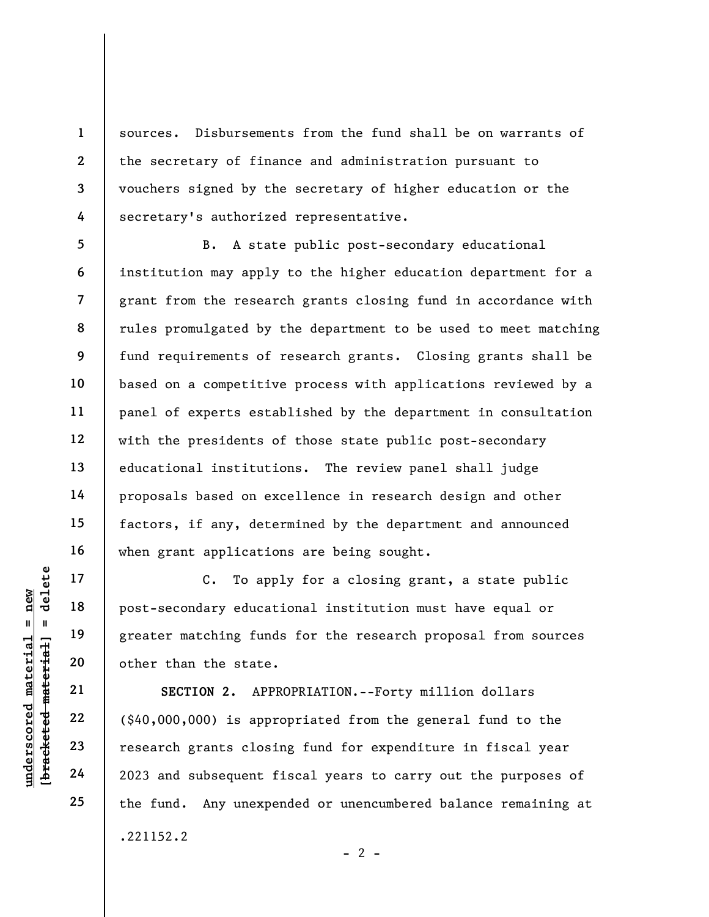sources. Disbursements from the fund shall be on warrants of the secretary of finance and administration pursuant to vouchers signed by the secretary of higher education or the secretary's authorized representative.

5 6 7 8 9 10 11 12 13 14 15 16 B. A state public post-secondary educational institution may apply to the higher education department for a grant from the research grants closing fund in accordance with rules promulgated by the department to be used to meet matching fund requirements of research grants. Closing grants shall be based on a competitive process with applications reviewed by a panel of experts established by the department in consultation with the presidents of those state public post-secondary educational institutions. The review panel shall judge proposals based on excellence in research design and other factors, if any, determined by the department and announced when grant applications are being sought.

C. To apply for a closing grant, a state public post-secondary educational institution must have equal or greater matching funds for the research proposal from sources other than the state.

understand material material post-secondary educated matching fund<br>understand matching fund<br>deleted matching fund<br>other than the state.<br>SECTION 2. APPI<br>understate of the state.<br>SECTION 2. APPI<br>independent of the state.<br>ECT SECTION 2. APPROPRIATION.--Forty million dollars (\$40,000,000) is appropriated from the general fund to the research grants closing fund for expenditure in fiscal year 2023 and subsequent fiscal years to carry out the purposes of the fund. Any unexpended or unencumbered balance remaining at .221152.2

17

18

19

20

21

22

23

24

25

1

2

3

4

 $- 2 -$